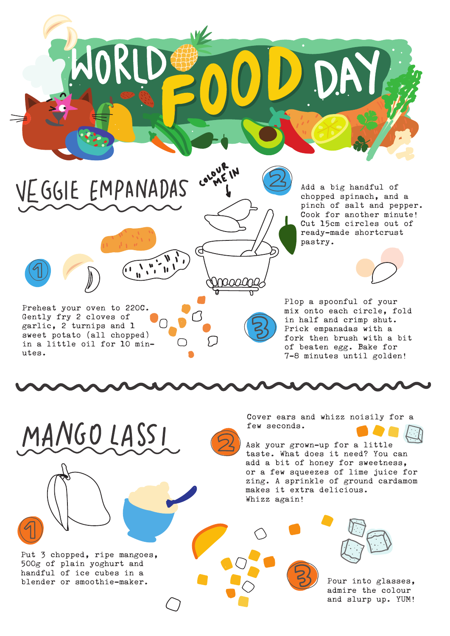

Add a big handful of chopped spinach, and a pinch of salt and pepper. Cook for another minute! Cut 15cm circles out of ready-made shortcrust pastry.

Plop a spoonful of your mix onto each circle, fold in half and crimp shut. Prick empanadas with a fork then brush with a bit of beaten egg. Bake for 7-8 minutes until golden!

Preheat your oven to 220C. Gently fry 2 cloves of garlic, 2 turnips and 1 sweet potato (all chopped) in a little oil for 10 min-

 $\frac{1}{\left(1-\frac{1}{n}\right)^{n-1}}\prod_{i=1}^{n}\frac{1}{i!}$ 

MANGO LASSI

VEGGIE EMPANADAS

Put 3 chopped, ripe mangoes, 500g of plain yoghurt and handful of ice cubes in a blender or smoothie-maker.

utes.

Cover ears and whizz noisily for a few seconds.

Ask your grown-up for a little taste. What does it need? You can add a bit of honey for sweetness, or a few squeezes of lime juice for zing. A sprinkle of ground cardamom makes it extra delicious. Whizz again!



Pour into glasses, admire the colour and slurp up. YUM!